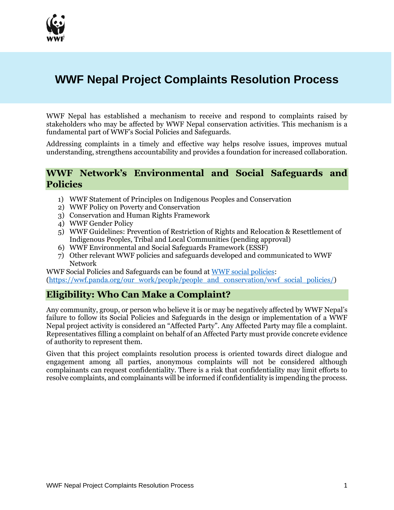

# **WWF Nepal Project Complaints Resolution Process**

WWF Nepal has established a mechanism to receive and respond to complaints raised by stakeholders who may be affected by WWF Nepal conservation activities. This mechanism is a fundamental part of WWF's Social Policies and Safeguards.

Addressing complaints in a timely and effective way helps resolve issues, improves mutual understanding, strengthens accountability and provides a foundation for increased collaboration.

## **WWF Network's Environmental and Social Safeguards and Policies**

- 1) WWF Statement of Principles on Indigenous Peoples and Conservation
- 2) WWF Policy on Poverty and Conservation
- 3) Conservation and Human Rights Framework
- 4) WWF Gender Policy
- 5) WWF Guidelines: Prevention of Restriction of Rights and Relocation & Resettlement of Indigenous Peoples, Tribal and Local Communities (pending approval)
- 6) WWF Environmental and Social Safeguards Framework (ESSF)
- 7) Other relevant WWF policies and safeguards developed and communicated to WWF Network

WWF Social Policies and Safeguards can be found at [WWF social policies:](http://wwf.panda.org/what_we_do/how_we_work/people_and_conservation/wwf_social_policies/) [\(https://wwf.panda.org/our\\_work/people/people\\_and\\_conservation/wwf\\_social\\_policies/\)](https://wwf.panda.org/our_work/people/people_and_conservation/wwf_social_policies/)

## **Eligibility: Who Can Make a Complaint?**

Any community, group, or person who believe it is or may be negatively affected by WWF Nepal's failure to follow its Social Policies and Safeguards in the design or implementation of a WWF Nepal project activity is considered an "Affected Party". Any Affected Party may file a complaint. Representatives filling a complaint on behalf of an Affected Party must provide concrete evidence of authority to represent them.

Given that this project complaints resolution process is oriented towards direct dialogue and engagement among all parties, anonymous complaints will not be considered although complainants can request confidentiality. There is a risk that confidentiality may limit efforts to resolve complaints, and complainants will be informed if confidentiality is impending the process.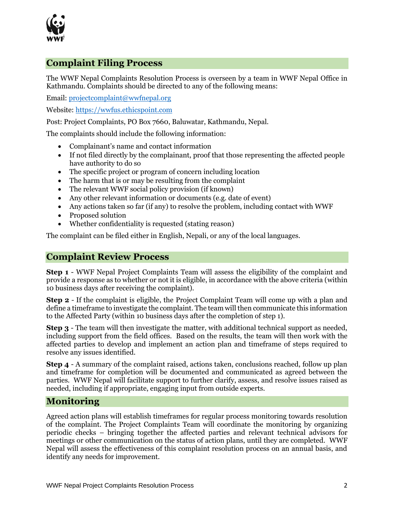

# **Complaint Filing Process**

The WWF Nepal Complaints Resolution Process is overseen by a team in WWF Nepal Office in Kathmandu. Complaints should be directed to any of the following means:

Email: [projectcomplaint@wwfnepal.org](mailto:projectcomplaint@wwfnepal.org)

Website: [https://wwfus.ethicspoint.com](https://wwfus.ethicspoint.com/)

Post: Project Complaints, PO Box 7660, Baluwatar, Kathmandu, Nepal.

The complaints should include the following information:

- Complainant's name and contact information
- If not filed directly by the complainant, proof that those representing the affected people have authority to do so
- The specific project or program of concern including location
- The harm that is or may be resulting from the complaint
- The relevant WWF social policy provision (if known)
- Any other relevant information or documents (e.g. date of event)
- Any actions taken so far (if any) to resolve the problem, including contact with WWF
- Proposed solution
- Whether confidentiality is requested (stating reason)

The complaint can be filed either in English, Nepali, or any of the local languages.

#### **Complaint Review Process**

**Step 1** - WWF Nepal Project Complaints Team will assess the eligibility of the complaint and provide a response as to whether or not it is eligible, in accordance with the above criteria (within 10 business days after receiving the complaint).

**Step 2** - If the complaint is eligible, the Project Complaint Team will come up with a plan and define a timeframe to investigate the complaint. The team will then communicate this information to the Affected Party (within 10 business days after the completion of step 1).

**Step 3** - The team will then investigate the matter, with additional technical support as needed, including support from the field offices. Based on the results, the team will then work with the affected parties to develop and implement an action plan and timeframe of steps required to resolve any issues identified.

**Step 4** - A summary of the complaint raised, actions taken, conclusions reached, follow up plan and timeframe for completion will be documented and communicated as agreed between the parties. WWF Nepal will facilitate support to further clarify, assess, and resolve issues raised as needed, including if appropriate, engaging input from outside experts.

#### **Monitoring**

Agreed action plans will establish timeframes for regular process monitoring towards resolution of the complaint. The Project Complaints Team will coordinate the monitoring by organizing periodic checks – bringing together the affected parties and relevant technical advisors for meetings or other communication on the status of action plans, until they are completed. WWF Nepal will assess the effectiveness of this complaint resolution process on an annual basis, and identify any needs for improvement.